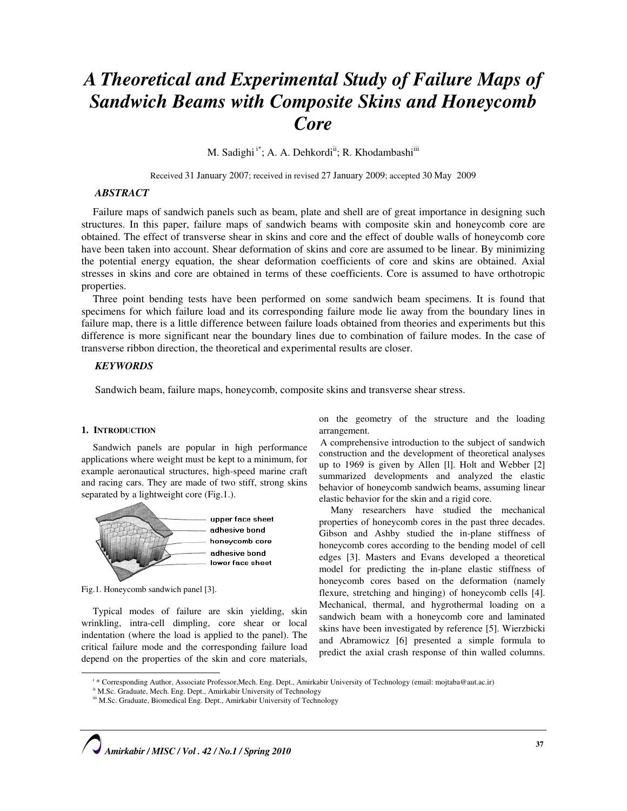# A Theoretical and Experimental Study of Failure Maps of Sandwich Beams with Composite Skins and Honeycomb **Core**

M. Sadighi<sup>i\*</sup>; A. A. Dehkordi<sup>ii</sup>; R. Khodambashi<sup>iii</sup>

Received 31 January 2007; received in revised 27 January 2009; accepted 30 May 2009

# **ABSTRACT**

Failure maps of sandwich panels such as beam, plate and shell are of great importance in designing such structures. In this paper, failure maps of sandwich beams with composite skin and honeycomb core are obtained. The effect of transverse shear in skins and core and the effect of double walls of honeycomb core have been taken into account. Shear deformation of skins and core are assumed to be linear. By minimizing the potential energy equation, the shear deformation coefficients of core and skins are obtained. Axial stresses in skins and core are obtained in terms of these coefficients. Core is assumed to have orthotropic properties.

Three point bending tests have been performed on some sandwich beam specimens. It is found that specimens for which failure load and its corresponding failure mode lie away from the boundary lines in failure map, there is a little difference between failure loads obtained from theories and experiments but this difference is more significant near the boundary lines due to combination of failure modes. In the case of transverse ribbon direction, the theoretical and experimental results are closer.

# **KEYWORDS**

Sandwich beam, failure maps, honeycomb, composite skins and transverse shear stress.

#### 1. INTRODUCTION

Sandwich panels are popular in high performance applications where weight must be kept to a minimum, for example aeronautical structures, high-speed marine craft and racing cars. They are made of two stiff, strong skins separated by a lightweight core (Fig.1.).



Fig.1. Honeycomb sandwich panel [3].

 $\overline{a}$ 

Typical modes of failure are skin yielding, skin wrinkling, intra-cell dimpling, core shear or local indentation (where the load is applied to the panel). The critical failure mode and the corresponding failure load depend on the properties of the skin and core materials,

on the geometry of the structure and the loading arrangement.

A comprehensive introduction to the subject of sandwich construction and the development of theoretical analyses up to 1969 is given by Allen [l]. Holt and Webber [2] summarized developments and analyzed the elastic behavior of honeycomb sandwich beams, assuming linear elastic behavior for the skin and a rigid core.

Many researchers have studied the mechanical properties of honeycomb cores in the past three decades. Gibson and Ashby studied the in-plane stiffness of honeycomb cores according to the bending model of cell edges [3]. Masters and Evans developed a theoretical model for predicting the in-plane elastic stiffness of honeycomb cores based on the deformation (namely flexure, stretching and hinging) of honeycomb cells [4]. Mechanical, thermal, and hygrothermal loading on a sandwich beam with a honeycomb core and laminated skins have been investigated by reference [5]. Wierzbicki and Abramowicz [6] presented a simple formula to predict the axial crash response of thin walled columns.

i \* Corresponding Author, Associate Professor,Mech. Eng. Dept., Amirkabir University of Technology (email: mojtaba@aut.ac.ir)

ii M.Sc. Graduate, Mech. Eng. Dept., Amirkabir University of Technology

iii M.Sc. Graduate, Biomedical Eng. Dept., Amirkabir University of Technology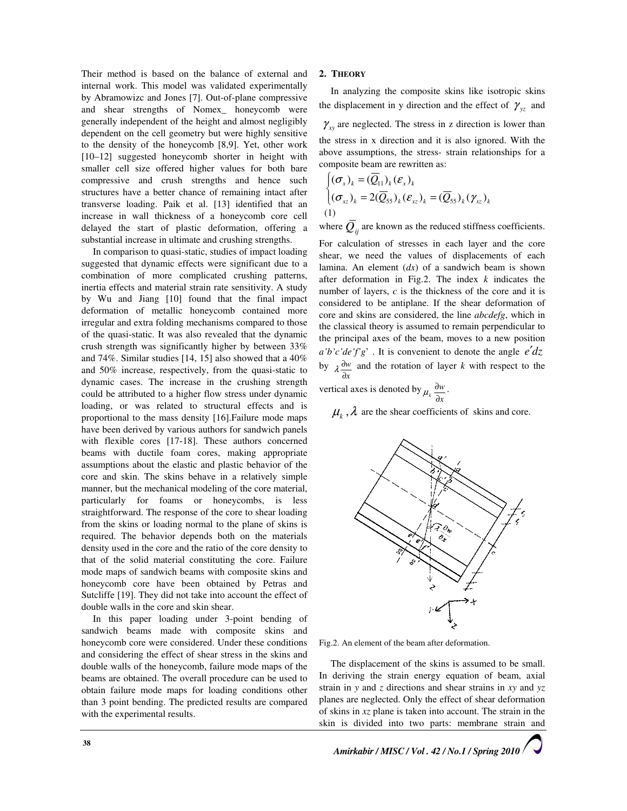Their method is based on the balance of external and internal work. This model was validated experimentally by Abramowizc and Jones [7]. Out-of-plane compressive and shear strengths of Nomex\_ honeycomb were generally independent of the height and almost negligibly dependent on the cell geometry but were highly sensitive to the density of the honeycomb [8,9]. Yet, other work [10–12] suggested honeycomb shorter in height with smaller cell size offered higher values for both bare compressive and crush strengths and hence such structures have a better chance of remaining intact after transverse loading. Paik et al. [13] identified that an increase in wall thickness of a honeycomb core cell delayed the start of plastic deformation, offering a substantial increase in ultimate and crushing strengths.

In comparison to quasi-static, studies of impact loading suggested that dynamic effects were significant due to a combination of more complicated crushing patterns, inertia effects and material strain rate sensitivity. A study by Wu and Jiang [10] found that the final impact deformation of metallic honeycomb contained more irregular and extra folding mechanisms compared to those of the quasi-static. It was also revealed that the dynamic crush strength was significantly higher by between 33% and 74%. Similar studies [14, 15] also showed that a 40% and 50% increase, respectively, from the quasi-static to dynamic cases. The increase in the crushing strength could be attributed to a higher flow stress under dynamic loading, or was related to structural effects and is proportional to the mass density [16].Failure mode maps have been derived by various authors for sandwich panels with flexible cores [17-18]. These authors concerned beams with ductile foam cores, making appropriate assumptions about the elastic and plastic behavior of the core and skin. The skins behave in a relatively simple manner, but the mechanical modeling of the core material, particularly for foams or honeycombs, is less straightforward. The response of the core to shear loading from the skins or loading normal to the plane of skins is required. The behavior depends both on the materials density used in the core and the ratio of the core density to that of the solid material constituting the core. Failure mode maps of sandwich beams with composite skins and honeycomb core have been obtained by Petras and Sutcliffe [19]. They did not take into account the effect of double walls in the core and skin shear.

In this paper loading under 3-point bending of sandwich beams made with composite skins and honeycomb core were considered. Under these conditions and considering the effect of shear stress in the skins and double walls of the honeycomb, failure mode maps of the beams are obtained. The overall procedure can be used to obtain failure mode maps for loading conditions other than 3 point bending. The predicted results are compared with the experimental results.

# 2. THEORY

In analyzing the composite skins like isotropic skins the displacement in y direction and the effect of  $\gamma_{yz}$  and  $\gamma_{xy}$  are neglected. The stress in z direction is lower than the stress in x direction and it is also ignored. With the above assumptions, the stress- strain relationships for a composite beam are rewritten as:

$$
\begin{cases}\n(\sigma_x)_k = (\overline{Q}_{11})_k (\varepsilon_x)_k \\
(\sigma_{xz})_k = 2(\overline{Q}_{55})_k (\varepsilon_{xz})_k = (\overline{Q}_{55})_k (\gamma_{xz})_k\n\end{cases}
$$
\n(1)

where  $\overline{Q}_{ii}$  are known as the reduced stiffness coefficients.

For calculation of stresses in each layer and the core shear, we need the values of displacements of each lamina. An element  $(dx)$  of a sandwich beam is shown after deformation in Fig.2. The index  $k$  indicates the number of layers, c is the thickness of the core and it is considered to be antiplane. If the shear deformation of core and skins are considered, the line abcdefg, which in the classical theory is assumed to remain perpendicular to the principal axes of the beam, moves to a new position  $a'b'c'de'fg'$ . It is convenient to denote the angle  $e'dz$ by x w ∂  $\lambda \frac{\partial w}{\partial t}$  and the rotation of layer k with respect to the

vertical axes is denoted by x  $\frac{\partial w}{\partial x}$  $\mu_k \frac{\partial w}{\partial x}$ .

 $\mu_k$ ,  $\lambda$  are the shear coefficients of skins and core.



Fig.2. An element of the beam after deformation.

The displacement of the skins is assumed to be small. In deriving the strain energy equation of beam, axial strain in y and z directions and shear strains in  $xy$  and  $yz$ planes are neglected. Only the effect of shear deformation of skins in  $xz$  plane is taken into account. The strain in the skin is divided into two parts: membrane strain and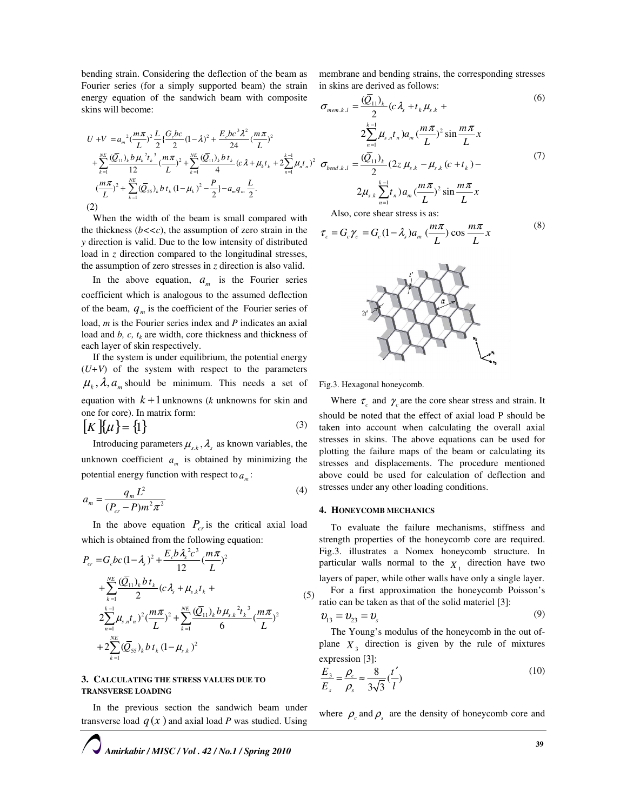bending strain. Considering the deflection of the beam as Fourier series (for a simply supported beam) the strain energy equation of the sandwich beam with composite skins will become:

$$
U + V = a_m^2 \left(\frac{m\pi}{L}\right)^2 \frac{L}{2} \left\{\frac{G_cbc}{2}(1-\lambda)^2 + \frac{E_cbc^3\lambda^2}{24} \left(\frac{m\pi}{L}\right)^2 - \frac{2\sum_{n=1}^{k-1} \mu_{s,n}t_n}{24}\right\} a_m \left(\frac{m\pi}{L}\right)^2 \sin\frac{m\pi}{L} x
$$
  
+ 
$$
\sum_{k=1}^{NE} \frac{(\overline{Q}_{11})_k b\mu_k^2 t_k^3}{12} \left(\frac{m\pi}{L}\right)^2 + \sum_{k=1}^{NE} \frac{(\overline{Q}_{11})_k b t_k}{4} (c\lambda + \mu_k t_k + 2\sum_{n=1}^{k-1} \mu_n t_n)^2 \sigma_{bend,k,l} = \frac{(\overline{Q}_{11})_k}{2} (2z\mu_{s,k} - \mu_{s,k} (c + t_k) - \frac{(\overline{m}\pi)}{L})^2 + \sum_{k=1}^{NE} (\overline{Q}_{55})_k b t_k (1-\mu_k)^2 - \frac{P}{2} - a_m q_m \frac{L}{2}.
$$
  
(2)

Also, core shear stress is as:

in skins are derived as follows:

 $\mathcal{L}_{k,l} = \frac{(Q_{11})_k}{2} (c \lambda_s + t_k \mu_s)$ 

 $\sigma_{\text{mem. k. l}} = \frac{(Q_{11})_k}{2} (c \lambda_s + t_k \mu_{s.k} +$ 

$$
\tau_c = G_c \gamma_c = G_c (1 - \lambda_s) a_m \left(\frac{m\pi}{L}\right) \cos \frac{m\pi}{L} x \tag{8}
$$

membrane and bending strains, the corresponding stresses

(6)

(7)



Fig.3. Hexagonal honeycomb.

Where  $\tau_c$  and  $\gamma_c$  are the core shear stress and strain. It should be noted that the effect of axial load P should be taken into account when calculating the overall axial stresses in skins. The above equations can be used for plotting the failure maps of the beam or calculating its stresses and displacements. The procedure mentioned above could be used for calculation of deflection and stresses under any other loading conditions.

#### 4. HONEYCOMB MECHANICS

(5)

To evaluate the failure mechanisms, stiffness and strength properties of the honeycomb core are required. Fig.3. illustrates a Nomex honeycomb structure. In particular walls normal to the  $X_1$  direction have two layers of paper, while other walls have only a single layer. For a first approximation the honeycomb Poisson's ratio can be taken as that of the solid materiel [3]:

$$
\boldsymbol{\mathcal{v}}_{13} = \boldsymbol{\mathcal{v}}_{23} = \boldsymbol{\mathcal{v}}_s \tag{9}
$$

The Young's modulus of the honeycomb in the out ofplane  $X_3$  direction is given by the rule of mixtures expression [3]:

$$
\frac{\overline{E}_3}{\overline{E}_s} = \frac{\rho_c}{\rho_s} \approx \frac{8}{3\sqrt{3}} \left(\frac{t'}{l}\right)
$$
\n(10)

where  $\rho_c$  and  $\rho_s$  are the density of honeycomb core and

When the width of the beam is small compared with the thickness  $(b<, the assumption of zero strain in the$ y direction is valid. Due to the low intensity of distributed load in z direction compared to the longitudinal stresses, the assumption of zero stresses in  $z$  direction is also valid. In the above equation,  $a_m$  is the Fourier series

coefficient which is analogous to the assumed deflection of the beam,  $q_m$  is the coefficient of the Fourier series of load, *m* is the Fourier series index and *P* indicates an axial load and  $b$ ,  $c$ ,  $t_k$  are width, core thickness and thickness of each layer of skin respectively.

If the system is under equilibrium, the potential energy  $(U+V)$  of the system with respect to the parameters  $\mu_k$ ,  $\lambda$ ,  $a_m$  should be minimum. This needs a set of equation with  $k+1$  unknowns (k unknowns for skin and one for core). In matrix form:

$$
[K]\{\mu\} = \{1\} \tag{3}
$$

Introducing parameters  $\mu_{s,k}$ ,  $\lambda_s$  as known variables, the unknown coefficient  $a_m$  is obtained by minimizing the potential energy function with respect to  $a_m$ :

$$
a_m = \frac{q_m L^2}{(P_{cr} - P)m^2 \pi^2}
$$
 (4)

In the above equation  $P_{cr}$  is the critical axial load which is obtained from the following equation:

$$
P_{cr} = G_c bc (1 - \lambda_s)^2 + \frac{E_c b \lambda_s^2 c^3}{12} (\frac{m \pi}{L})^2
$$
  
+ 
$$
\sum_{k=1}^{NE} \frac{(\overline{Q}_{11})_k b t_k}{2} (c \lambda_s + \mu_{s,k} t_k +
$$
  

$$
2 \sum_{n=1}^{k-1} \mu_{s,n} t_n)^2 (\frac{m \pi}{L})^2 + \sum_{k=1}^{NE} \frac{(\overline{Q}_{11})_k b \mu_{s,k}^2 t_k^3}{6} (\frac{m \pi}{L})^2
$$
  
+ 
$$
2 \sum_{k=1}^{NE} (\overline{Q}_{55})_k b t_k (1 - \mu_{s,k})^2
$$

#### 3. CALCULATING THE STRESS VALUES DUE TO TRANSVERSE LOADING

In the previous section the sandwich beam under transverse load  $q(x)$  and axial load P was studied. Using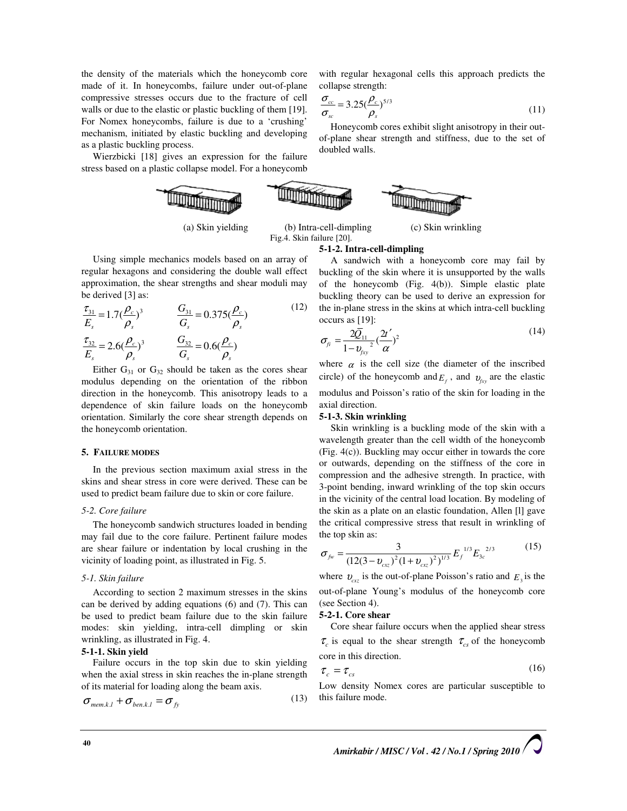the density of the materials which the honeycomb core made of it. In honeycombs, failure under out-of-plane compressive stresses occurs due to the fracture of cell walls or due to the elastic or plastic buckling of them [19]. For Nomex honeycombs, failure is due to a 'crushing' mechanism, initiated by elastic buckling and developing as a plastic buckling process.

Wierzbicki [18] gives an expression for the failure stress based on a plastic collapse model. For a honeycomb



Using simple mechanics models based on an array of regular hexagons and considering the double wall effect approximation, the shear strengths and shear moduli may be derived [3] as:

$$
\frac{\tau_{31}}{E_s} = 1.7(\frac{\rho_c}{\rho_s})^3 \qquad \frac{G_{31}}{G_s} = 0.375(\frac{\rho_c}{\rho_s})
$$
\n
$$
\frac{\tau_{32}}{E_s} = 2.6(\frac{\rho_c}{\rho_s})^3 \qquad \frac{G_{32}}{G_s} = 0.6(\frac{\rho_c}{\rho_s})
$$
\n(12)

Either  $G_{31}$  or  $G_{32}$  should be taken as the cores shear modulus depending on the orientation of the ribbon direction in the honeycomb. This anisotropy leads to a dependence of skin failure loads on the honeycomb orientation. Similarly the core shear strength depends on the honeycomb orientation.

#### 5. FAILURE MODES

In the previous section maximum axial stress in the skins and shear stress in core were derived. These can be used to predict beam failure due to skin or core failure.

#### 5-2. Core failure

The honeycomb sandwich structures loaded in bending may fail due to the core failure. Pertinent failure modes are shear failure or indentation by local crushing in the vicinity of loading point, as illustrated in Fig. 5.

#### 5-1. Skin failure

According to section 2 maximum stresses in the skins can be derived by adding equations (6) and (7). This can be used to predict beam failure due to the skin failure modes: skin yielding, intra-cell dimpling or skin wrinkling, as illustrated in Fig. 4.

# 5-1-1. Skin yield

Failure occurs in the top skin due to skin yielding when the axial stress in skin reaches the in-plane strength of its material for loading along the beam axis.

$$
\sigma_{\text{mem.}k.l} + \sigma_{\text{ben.}k.l} = \sigma_{\text{fy}}
$$
\n(13)

with regular hexagonal cells this approach predicts the collapse strength:

$$
\frac{\sigma_{cc}}{\sigma_{sc}} = 3.25 \left(\frac{\rho_c}{\rho_s}\right)^{5/3} \tag{11}
$$

Honeycomb cores exhibit slight anisotropy in their outof-plane shear strength and stiffness, due to the set of doubled walls.



 (a) Skin yielding (b) Intra-cell-dimpling (c) Skin wrinkling Fig.4. Skin failure [20].

#### 5-1-2. Intra-cell-dimpling

A sandwich with a honeycomb core may fail by buckling of the skin where it is unsupported by the walls of the honeycomb (Fig. 4(b)). Simple elastic plate buckling theory can be used to derive an expression for the in-plane stress in the skins at which intra-cell buckling occurs as [19]:

$$
\sigma_{f_i} = \frac{2\overline{Q}_{11}}{1 - \nu_{fxy}^2} \left(\frac{2t'}{\alpha}\right)^2 \tag{14}
$$

where  $\alpha$  is the cell size (the diameter of the inscribed circle) of the honeycomb and  $E_f$ , and  $v_{fxy}$  are the elastic modulus and Poisson's ratio of the skin for loading in the axial direction.

#### 5-1-3. Skin wrinkling

Skin wrinkling is a buckling mode of the skin with a wavelength greater than the cell width of the honeycomb (Fig. 4(c)). Buckling may occur either in towards the core or outwards, depending on the stiffness of the core in compression and the adhesive strength. In practice, with 3-point bending, inward wrinkling of the top skin occurs in the vicinity of the central load location. By modeling of the skin as a plate on an elastic foundation, Allen [l] gave the critical compressive stress that result in wrinkling of the top skin as:

$$
\sigma_{f\nu} = \frac{3}{(12(3 - v_{\rm ext})^2 (1 + v_{\rm ext})^2)^{1/3}} E_f^{1/3} E_{3c}^{2/3}
$$
(15)

where  $v_{\text{c}z}$  is the out-of-plane Poisson's ratio and  $E_3$  is the out-of-plane Young's modulus of the honeycomb core (see Section 4).

# 5-2-1. Core shear

Core shear failure occurs when the applied shear stress  $\tau_c$  is equal to the shear strength  $\tau_{cs}$  of the honeycomb core in this direction.

$$
\tau_c = \tau_{cs} \tag{16}
$$

Low density Nomex cores are particular susceptible to this failure mode.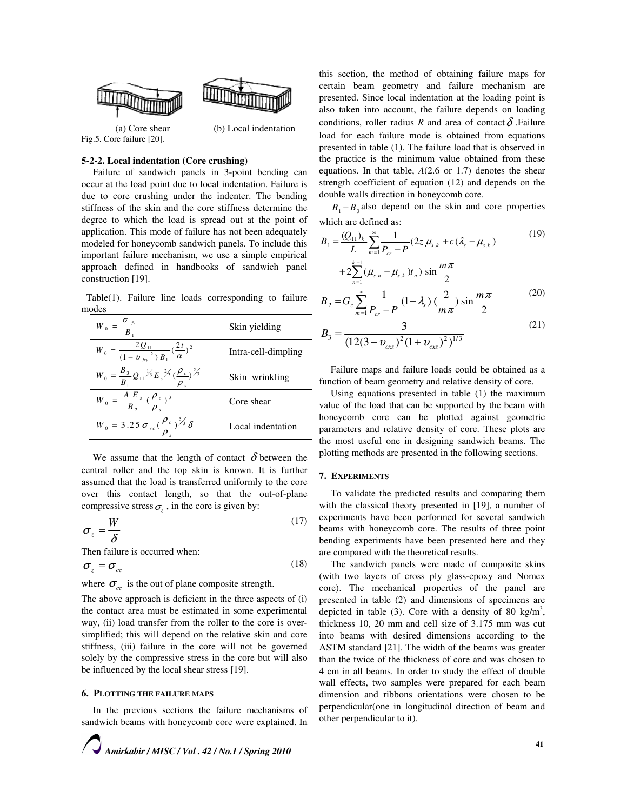

Fig.5. Core failure [20].

# 5-2-2. Local indentation (Core crushing)

Failure of sandwich panels in 3-point bending can occur at the load point due to local indentation. Failure is due to core crushing under the indenter. The bending stiffness of the skin and the core stiffness determine the degree to which the load is spread out at the point of application. This mode of failure has not been adequately modeled for honeycomb sandwich panels. To include this important failure mechanism, we use a simple empirical approach defined in handbooks of sandwich panel construction [19].

 Table(1). Failure line loads corresponding to failure modes

| $W_{_0} = \frac{\sigma_{_{f\!y}}}{B_{_1}}$                                                       | Skin yielding       |
|--------------------------------------------------------------------------------------------------|---------------------|
| $W_{0} = \frac{2 \overline{Q}_{11}}{(1 - v_{fxy}^{2}) B_{1}} (\frac{2t}{\alpha})^{2}$            | Intra-cell-dimpling |
| $W_0 = \frac{B_3}{B_1} Q_{11} \frac{1}{3} E_s \frac{2}{3} (\frac{\rho_c}{\rho_s})^{\frac{2}{3}}$ | Skin wrinkling      |
| $W_0 = \frac{A E_s}{B_2} (\frac{\rho_c}{\rho_s})^3$                                              | Core shear          |
| $W_0 = 3.25 \sigma_{sc} (\frac{\rho_c}{\rho_s})^{5/3} \delta$                                    | Local indentation   |

We assume that the length of contact  $\delta$  between the central roller and the top skin is known. It is further assumed that the load is transferred uniformly to the core over this contact length, so that the out-of-plane compressive stress  $\sigma_z$ , in the core is given by:

$$
\sigma_z = \frac{W}{\delta} \tag{17}
$$

Then failure is occurred when:

$$
\sigma_z = \sigma_{cc} \tag{18}
$$

where  $\sigma_{cc}$  is the out of plane composite strength.

The above approach is deficient in the three aspects of (i) the contact area must be estimated in some experimental way, (ii) load transfer from the roller to the core is oversimplified; this will depend on the relative skin and core stiffness, (iii) failure in the core will not be governed solely by the compressive stress in the core but will also be influenced by the local shear stress [19].

#### 6. PLOTTING THE FAILURE MAPS

In the previous sections the failure mechanisms of sandwich beams with honeycomb core were explained. In

this section, the method of obtaining failure maps for certain beam geometry and failure mechanism are presented. Since local indentation at the loading point is also taken into account, the failure depends on loading conditions, roller radius R and area of contact  $\delta$ . Failure load for each failure mode is obtained from equations presented in table (1). The failure load that is observed in the practice is the minimum value obtained from these equations. In that table,  $A(2.6 \text{ or } 1.7)$  denotes the shear strength coefficient of equation (12) and depends on the double walls direction in honeycomb core.

 $B_1 - B_2$  also depend on the skin and core properties which are defined as:

$$
B_1 = \frac{(\bar{Q}_{11})_k}{L} \sum_{m=1}^{\infty} \frac{1}{P_{cr} - P} (2z \mu_{s,k} + c(\lambda_s - \mu_{s,k})
$$
  
+2 $\sum_{n=1}^{k-1} (\mu_{s,n} - \mu_{s,k}) t_n) \sin \frac{m\pi}{2}$   

$$
B_2 = G_c \sum_{m=1}^{\infty} \frac{1}{P_{cr} - P} (1 - \lambda_s) (\frac{2}{m\pi}) \sin \frac{m\pi}{2}
$$
(20)

$$
B_3 = \frac{3}{(12(3 - v_{\rm cx})^2)(1 + v_{\rm cx})^2)^{1/3}}
$$
(21)

Failure maps and failure loads could be obtained as a function of beam geometry and relative density of core.

Using equations presented in table (1) the maximum value of the load that can be supported by the beam with honeycomb core can be plotted against geometric parameters and relative density of core. These plots are the most useful one in designing sandwich beams. The plotting methods are presented in the following sections.

# 7. EXPERIMENTS

To validate the predicted results and comparing them with the classical theory presented in [19], a number of experiments have been performed for several sandwich beams with honeycomb core. The results of three point bending experiments have been presented here and they are compared with the theoretical results.

The sandwich panels were made of composite skins (with two layers of cross ply glass-epoxy and Nomex core). The mechanical properties of the panel are presented in table (2) and dimensions of specimens are depicted in table (3). Core with a density of 80 kg/m<sup>3</sup>, thickness 10, 20 mm and cell size of 3.175 mm was cut into beams with desired dimensions according to the ASTM standard [21]. The width of the beams was greater than the twice of the thickness of core and was chosen to 4 cm in all beams. In order to study the effect of double wall effects, two samples were prepared for each beam dimension and ribbons orientations were chosen to be perpendicular(one in longitudinal direction of beam and other perpendicular to it).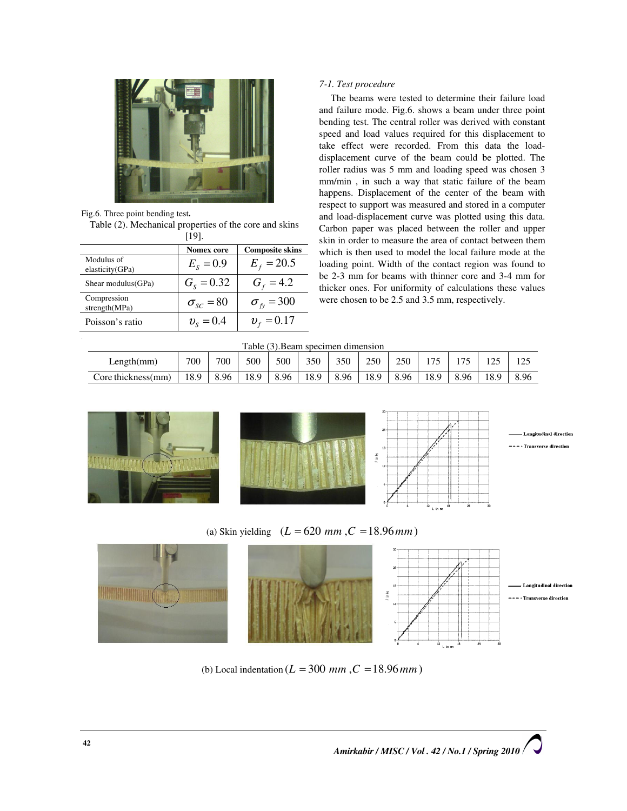

Fig.6. Three point bending test.

Table (2). Mechanical properties of the core and skins [19].

|                               | <b>Nomex core</b>  | <b>Composite skins</b>   |
|-------------------------------|--------------------|--------------------------|
| Modulus of<br>elasticity(GPa) | $E_s = 0.9$        | $E_{f} = 20.5$           |
| Shear modulus (GPa)           | $G_s = 0.32$       | $G_f = 4.2$              |
| Compression<br>strength(MPa)  | $\sigma_{sc} = 80$ | $\sigma_{\hat{r}}$ = 300 |
| Poisson's ratio               | $v_{s} = 0.4$      | $v_r = 0.17$             |

# 7-1. Test procedure

The beams were tested to determine their failure load and failure mode. Fig.6. shows a beam under three point bending test. The central roller was derived with constant speed and load values required for this displacement to take effect were recorded. From this data the loaddisplacement curve of the beam could be plotted. The roller radius was 5 mm and loading speed was chosen 3 mm/min , in such a way that static failure of the beam happens. Displacement of the center of the beam with respect to support was measured and stored in a computer and load-displacement curve was plotted using this data. Carbon paper was placed between the roller and upper skin in order to measure the area of contact between them which is then used to model the local failure mode at the loading point. Width of the contact region was found to be 2-3 mm for beams with thinner core and 3-4 mm for thicker ones. For uniformity of calculations these values were chosen to be 2.5 and 3.5 mm, respectively.

#### Table (3).Beam specimen dimension

| Length(mm)         | 700  | 700  | 500  | 500  | 350  | 350  | 250  | 250  | . 75 | $\overline{\phantom{a}}$ | $1 \wedge r$<br>⊥∠J | ت که ا |
|--------------------|------|------|------|------|------|------|------|------|------|--------------------------|---------------------|--------|
| Core thickness(mm) | 18.9 | 8.96 | 18.9 | 8.96 | 18.9 | 8.96 | 18.9 | 8.96 | 8.9  | 8.96                     | 18.9                | 8.96   |







.<br>Longitudinal direction --- - Transverse direction

(a) Skin yielding  $(L = 620 \, mm, C = 18.96 \, mm)$ 



(b) Local indentation ( $L = 300$  mm,  $C = 18.96$  mm)

Amirkabir / MISC / Vol. 42 / No.1 / Spring 2010  $/ \sim$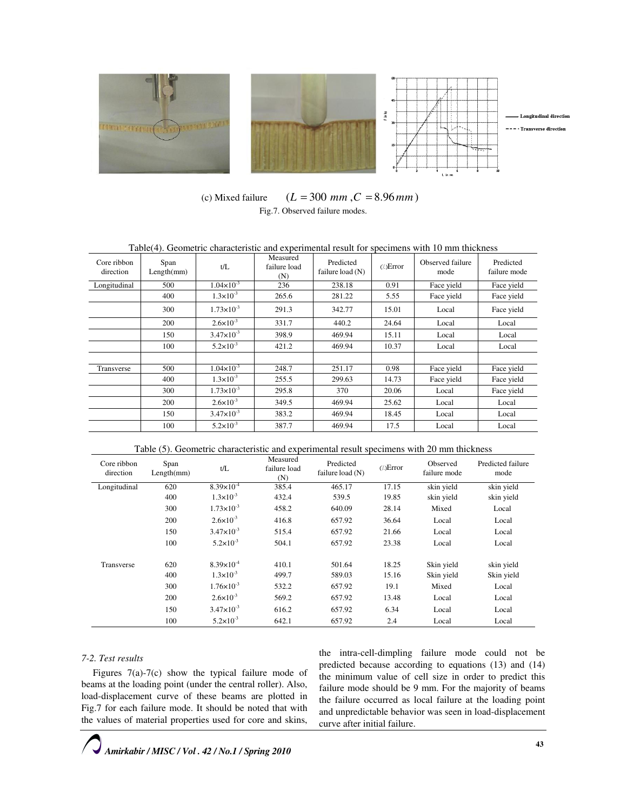

(c) Mixed failure  $(L = 300 \, mm, C = 8.96 \, mm)$ Fig.7. Observed failure modes.

| Table(4). Geometric characteristic and experimental result for specimens with 10 mm thickness |                    |                       |                                 |                                 |                      |                          |                           |  |  |
|-----------------------------------------------------------------------------------------------|--------------------|-----------------------|---------------------------------|---------------------------------|----------------------|--------------------------|---------------------------|--|--|
| Core ribbon<br>direction                                                                      | Span<br>Length(mm) | t/L                   | Measured<br>failure load<br>(N) | Predicted<br>failure load $(N)$ | $\binom{7}{2}$ Error | Observed failure<br>mode | Predicted<br>failure mode |  |  |
| Longitudinal                                                                                  | 500                | $1.04 \times 10^{-3}$ | 236                             | 238.18                          | 0.91                 | Face yield               | Face yield                |  |  |
|                                                                                               | 400                | $1.3 \times 10^{-3}$  | 265.6                           | 281.22                          | 5.55                 | Face yield               | Face yield                |  |  |
|                                                                                               | 300                | $1.73 \times 10^{-3}$ | 291.3                           | 342.77                          | 15.01                | Local                    | Face yield                |  |  |
|                                                                                               | 200                | $2.6 \times 10^{-3}$  | 331.7                           | 440.2                           | 24.64                | Local                    | Local                     |  |  |
|                                                                                               | 150                | $3.47 \times 10^{-3}$ | 398.9                           | 469.94                          | 15.11                | Local                    | Local                     |  |  |
|                                                                                               | 100                | $5.2 \times 10^{-3}$  | 421.2                           | 469.94                          | 10.37                | Local                    | Local                     |  |  |
|                                                                                               |                    |                       |                                 |                                 |                      |                          |                           |  |  |
| Transverse                                                                                    | 500                | $1.04 \times 10^{-3}$ | 248.7                           | 251.17                          | 0.98                 | Face yield               | Face yield                |  |  |
|                                                                                               | 400                | $1.3\times10^{-3}$    | 255.5                           | 299.63                          | 14.73                | Face yield               | Face yield                |  |  |
|                                                                                               | 300                | $1.73 \times 10^{-3}$ | 295.8                           | 370                             | 20.06                | Local                    | Face yield                |  |  |
|                                                                                               | 200                | $2.6 \times 10^{-3}$  | 349.5                           | 469.94                          | 25.62                | Local                    | Local                     |  |  |
|                                                                                               | 150                | $3.47 \times 10^{-3}$ | 383.2                           | 469.94                          | 18.45                | Local                    | Local                     |  |  |
|                                                                                               | 100                | $5.2 \times 10^{-3}$  | 387.7                           | 469.94                          | 17.5                 | Local                    | Local                     |  |  |

Table (5). Geometric characteristic and experimental result specimens with 20 mm thickness

| Core ribbon<br>direction | Span<br>Length(mm) | t/L                   | Measured<br>failure load<br>(N) | Predicted<br>$(\cdot)$ Error<br>failure load (N) |       | Observed<br>failure mode | Predicted failure<br>mode |
|--------------------------|--------------------|-----------------------|---------------------------------|--------------------------------------------------|-------|--------------------------|---------------------------|
| Longitudinal             | 620                | $8.39 \times 10^{-4}$ | 385.4                           | 465.17                                           | 17.15 | skin yield               | skin yield                |
|                          | 400                | $1.3 \times 10^{-3}$  | 432.4                           | 539.5                                            | 19.85 | skin yield               | skin yield                |
|                          | 300                | $1.73 \times 10^{-3}$ | 458.2                           | 640.09                                           | 28.14 | Mixed                    | Local                     |
|                          | 200                | $2.6 \times 10^{-3}$  | 416.8                           | 657.92                                           | 36.64 | Local                    | Local                     |
|                          | 150                | $3.47 \times 10^{-3}$ | 515.4                           | 657.92                                           | 21.66 | Local                    | Local                     |
|                          | 100                | $5.2 \times 10^{-3}$  | 504.1                           | 657.92                                           | 23.38 | Local                    | Local                     |
| Transverse               | 620                | $8.39\times10^{-4}$   | 410.1                           | 501.64                                           | 18.25 | Skin yield               | skin yield                |
|                          | 400                | $1.3 \times 10^{-3}$  | 499.7                           | 589.03                                           | 15.16 | Skin yield               | Skin yield                |
|                          | 300                | $1.76 \times 10^{-3}$ | 532.2                           | 657.92                                           | 19.1  | Mixed                    | Local                     |
|                          | 200                | $2.6 \times 10^{-3}$  | 569.2                           | 657.92                                           | 13.48 | Local                    | Local                     |
|                          | 150                | $3.47\times10^{-3}$   | 616.2                           | 657.92                                           | 6.34  | Local                    | Local                     |
|                          | 100                | $5.2 \times 10^{-3}$  | 642.1                           | 657.92                                           | 2.4   | Local                    | Local                     |

# 7-2. Test results

Figures 7(a)-7(c) show the typical failure mode of beams at the loading point (under the central roller). Also, load-displacement curve of these beams are plotted in Fig.7 for each failure mode. It should be noted that with the values of material properties used for core and skins,

the intra-cell-dimpling failure mode could not be predicted because according to equations (13) and (14) the minimum value of cell size in order to predict this failure mode should be 9 mm. For the majority of beams the failure occurred as local failure at the loading point and unpredictable behavior was seen in load-displacement curve after initial failure.

Amirkabir / MISC / Vol . 42 / No.1 / Spring 2010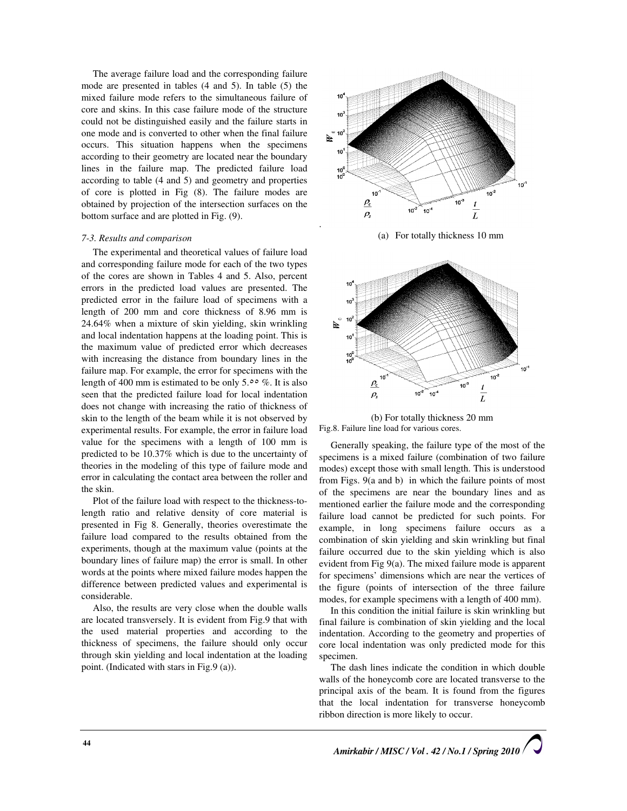The average failure load and the corresponding failure mode are presented in tables (4 and 5). In table (5) the mixed failure mode refers to the simultaneous failure of core and skins. In this case failure mode of the structure could not be distinguished easily and the failure starts in one mode and is converted to other when the final failure occurs. This situation happens when the specimens according to their geometry are located near the boundary lines in the failure map. The predicted failure load according to table (4 and 5) and geometry and properties of core is plotted in Fig (8). The failure modes are obtained by projection of the intersection surfaces on the bottom surface and are plotted in Fig. (9).

## 7-3. Results and comparison

The experimental and theoretical values of failure load and corresponding failure mode for each of the two types of the cores are shown in Tables 4 and 5. Also, percent errors in the predicted load values are presented. The predicted error in the failure load of specimens with a length of 200 mm and core thickness of 8.96 mm is 24.64% when a mixture of skin yielding, skin wrinkling and local indentation happens at the loading point. This is the maximum value of predicted error which decreases with increasing the distance from boundary lines in the failure map. For example, the error for specimens with the length of 400 mm is estimated to be only 5. $\circ \circ \%$ . It is also seen that the predicted failure load for local indentation does not change with increasing the ratio of thickness of skin to the length of the beam while it is not observed by experimental results. For example, the error in failure load value for the specimens with a length of 100 mm is predicted to be 10.37% which is due to the uncertainty of theories in the modeling of this type of failure mode and error in calculating the contact area between the roller and the skin.

Plot of the failure load with respect to the thickness-tolength ratio and relative density of core material is presented in Fig 8. Generally, theories overestimate the failure load compared to the results obtained from the experiments, though at the maximum value (points at the boundary lines of failure map) the error is small. In other words at the points where mixed failure modes happen the difference between predicted values and experimental is considerable.

Also, the results are very close when the double walls are located transversely. It is evident from Fig.9 that with the used material properties and according to the thickness of specimens, the failure should only occur through skin yielding and local indentation at the loading point. (Indicated with stars in Fig.9 (a)).





(b) For totally thickness 20 mm Fig.8. Failure line load for various cores.

Generally speaking, the failure type of the most of the specimens is a mixed failure (combination of two failure modes) except those with small length. This is understood from Figs. 9(a and b) in which the failure points of most of the specimens are near the boundary lines and as mentioned earlier the failure mode and the corresponding failure load cannot be predicted for such points. For example, in long specimens failure occurs as a combination of skin yielding and skin wrinkling but final failure occurred due to the skin yielding which is also evident from Fig 9(a). The mixed failure mode is apparent for specimens' dimensions which are near the vertices of the figure (points of intersection of the three failure modes, for example specimens with a length of 400 mm).

In this condition the initial failure is skin wrinkling but final failure is combination of skin yielding and the local indentation. According to the geometry and properties of core local indentation was only predicted mode for this specimen.

The dash lines indicate the condition in which double walls of the honeycomb core are located transverse to the principal axis of the beam. It is found from the figures that the local indentation for transverse honeycomb ribbon direction is more likely to occur.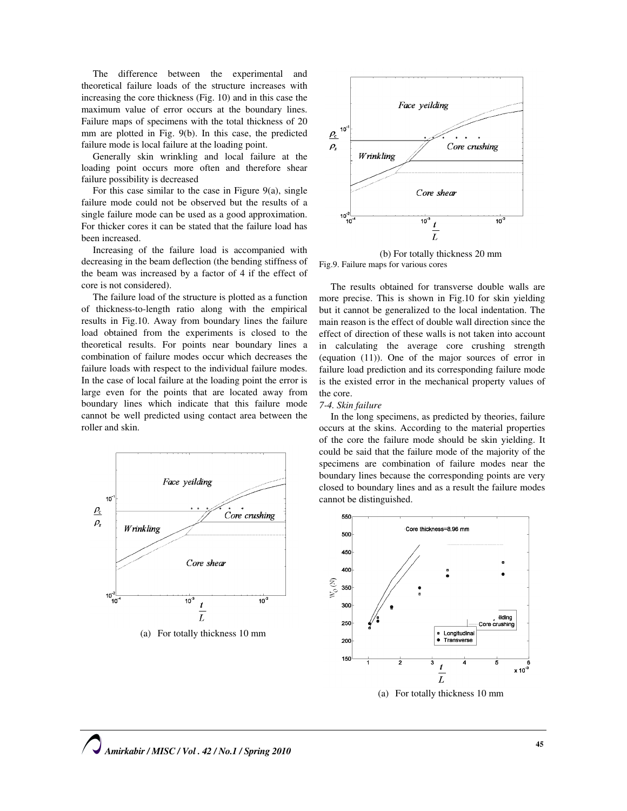The difference between the experimental and theoretical failure loads of the structure increases with increasing the core thickness (Fig. 10) and in this case the maximum value of error occurs at the boundary lines. Failure maps of specimens with the total thickness of 20 mm are plotted in Fig. 9(b). In this case, the predicted failure mode is local failure at the loading point.

Generally skin wrinkling and local failure at the loading point occurs more often and therefore shear failure possibility is decreased

For this case similar to the case in Figure 9(a), single failure mode could not be observed but the results of a single failure mode can be used as a good approximation. For thicker cores it can be stated that the failure load has been increased.

Increasing of the failure load is accompanied with decreasing in the beam deflection (the bending stiffness of the beam was increased by a factor of 4 if the effect of core is not considered).

The failure load of the structure is plotted as a function of thickness-to-length ratio along with the empirical results in Fig.10. Away from boundary lines the failure load obtained from the experiments is closed to the theoretical results. For points near boundary lines a combination of failure modes occur which decreases the failure loads with respect to the individual failure modes. In the case of local failure at the loading point the error is large even for the points that are located away from boundary lines which indicate that this failure mode cannot be well predicted using contact area between the roller and skin.



(a) For totally thickness 10 mm



(b) For totally thickness 20 mm Fig.9. Failure maps for various cores

The results obtained for transverse double walls are more precise. This is shown in Fig.10 for skin yielding but it cannot be generalized to the local indentation. The main reason is the effect of double wall direction since the effect of direction of these walls is not taken into account in calculating the average core crushing strength (equation (11)). One of the major sources of error in failure load prediction and its corresponding failure mode is the existed error in the mechanical property values of the core.

#### 7-4. Skin failure

In the long specimens, as predicted by theories, failure occurs at the skins. According to the material properties of the core the failure mode should be skin yielding. It could be said that the failure mode of the majority of the specimens are combination of failure modes near the boundary lines because the corresponding points are very closed to boundary lines and as a result the failure modes cannot be distinguished.

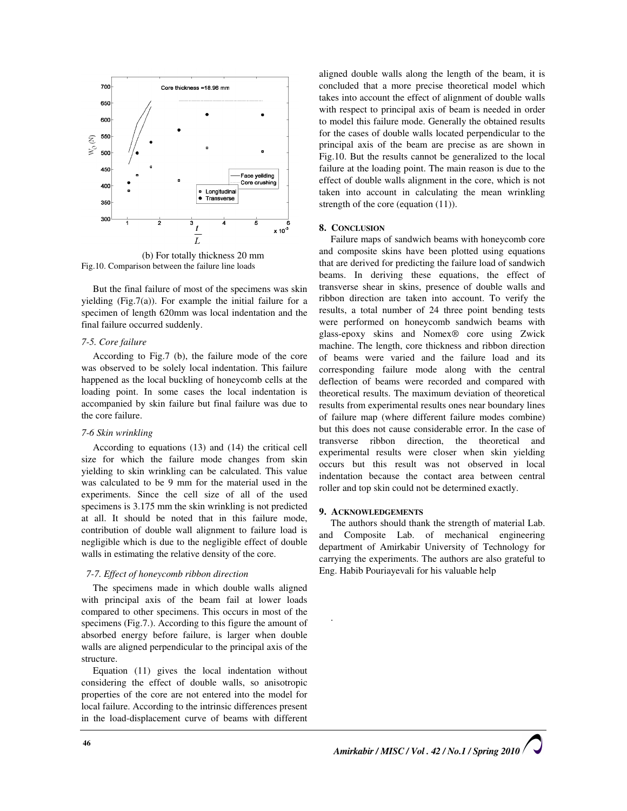

(b) For totally thickness 20 mm Fig.10. Comparison between the failure line loads

But the final failure of most of the specimens was skin yielding (Fig.7(a)). For example the initial failure for a specimen of length 620mm was local indentation and the final failure occurred suddenly.

# 7-5. Core failure

According to Fig.7 (b), the failure mode of the core was observed to be solely local indentation. This failure happened as the local buckling of honeycomb cells at the loading point. In some cases the local indentation is accompanied by skin failure but final failure was due to the core failure.

# 7-6 Skin wrinkling

According to equations (13) and (14) the critical cell size for which the failure mode changes from skin yielding to skin wrinkling can be calculated. This value was calculated to be 9 mm for the material used in the experiments. Since the cell size of all of the used specimens is 3.175 mm the skin wrinkling is not predicted at all. It should be noted that in this failure mode, contribution of double wall alignment to failure load is negligible which is due to the negligible effect of double walls in estimating the relative density of the core.

# 7-7. Effect of honeycomb ribbon direction

The specimens made in which double walls aligned with principal axis of the beam fail at lower loads compared to other specimens. This occurs in most of the specimens (Fig.7.). According to this figure the amount of absorbed energy before failure, is larger when double walls are aligned perpendicular to the principal axis of the structure.

Equation (11) gives the local indentation without considering the effect of double walls, so anisotropic properties of the core are not entered into the model for local failure. According to the intrinsic differences present in the load-displacement curve of beams with different

aligned double walls along the length of the beam, it is concluded that a more precise theoretical model which takes into account the effect of alignment of double walls with respect to principal axis of beam is needed in order to model this failure mode. Generally the obtained results for the cases of double walls located perpendicular to the principal axis of the beam are precise as are shown in Fig.10. But the results cannot be generalized to the local failure at the loading point. The main reason is due to the effect of double walls alignment in the core, which is not taken into account in calculating the mean wrinkling strength of the core (equation  $(11)$ ).

## 8. CONCLUSION

Failure maps of sandwich beams with honeycomb core and composite skins have been plotted using equations that are derived for predicting the failure load of sandwich beams. In deriving these equations, the effect of transverse shear in skins, presence of double walls and ribbon direction are taken into account. To verify the results, a total number of 24 three point bending tests were performed on honeycomb sandwich beams with glass-epoxy skins and Nomex® core using Zwick machine. The length, core thickness and ribbon direction of beams were varied and the failure load and its corresponding failure mode along with the central deflection of beams were recorded and compared with theoretical results. The maximum deviation of theoretical results from experimental results ones near boundary lines of failure map (where different failure modes combine) but this does not cause considerable error. In the case of transverse ribbon direction, the theoretical and experimental results were closer when skin yielding occurs but this result was not observed in local indentation because the contact area between central roller and top skin could not be determined exactly.

# 9. ACKNOWLEDGEMENTS

.

The authors should thank the strength of material Lab. and Composite Lab. of mechanical engineering department of Amirkabir University of Technology for carrying the experiments. The authors are also grateful to Eng. Habib Pouriayevali for his valuable help